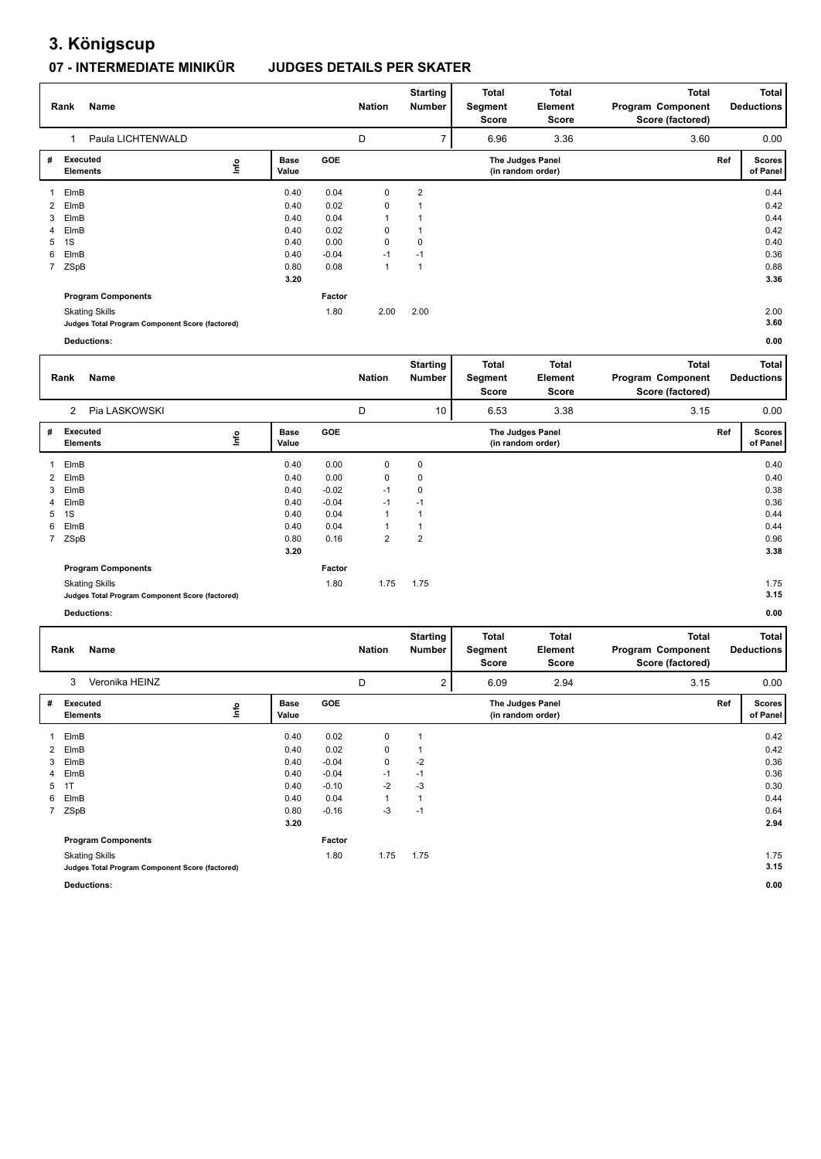## **3. Königscup**

### **07 - INTERMEDIATE MINIKÜR JUDGES DETAILS PER SKATER**

|              | Name<br>Rank                                    |      |                      |         | <b>Nation</b> | <b>Starting</b><br>Number | Total<br>Segment<br>Score | Total<br>Element<br><b>Score</b>      | <b>Total</b><br>Program Component<br>Score (factored) |     | <b>Total</b><br><b>Deductions</b> |
|--------------|-------------------------------------------------|------|----------------------|---------|---------------|---------------------------|---------------------------|---------------------------------------|-------------------------------------------------------|-----|-----------------------------------|
|              | Paula LICHTENWALD                               |      |                      |         | D             | ⇁                         | 6.96                      | 3.36                                  | 3.60                                                  |     | 0.00                              |
| #            | <b>Executed</b><br><b>Elements</b>              | lnfo | <b>Base</b><br>Value | GOE     |               |                           |                           | The Judges Panel<br>(in random order) |                                                       | Ref | <b>Scores</b><br>of Panel         |
|              | ElmB                                            |      | 0.40                 | 0.04    | 0             | $\overline{2}$            |                           |                                       |                                                       |     | 0.44                              |
| $\mathbf{2}$ | ElmB                                            |      | 0.40                 | 0.02    | 0             |                           |                           |                                       |                                                       |     | 0.42                              |
| 3            | ElmB                                            |      | 0.40                 | 0.04    | 1             |                           |                           |                                       |                                                       |     | 0.44                              |
| 4            | ElmB                                            |      | 0.40                 | 0.02    | 0             |                           |                           |                                       |                                                       |     | 0.42                              |
| 5            | 1S                                              |      | 0.40                 | 0.00    | $\mathbf 0$   | 0                         |                           |                                       |                                                       |     | 0.40                              |
| 6            | ElmB                                            |      | 0.40                 | $-0.04$ | $-1$          | $-1$                      |                           |                                       |                                                       |     | 0.36                              |
| $7^{\circ}$  | ZSpB                                            |      | 0.80                 | 0.08    | 1             | $\overline{ }$            |                           |                                       |                                                       |     | 0.88                              |
|              |                                                 |      | 3.20                 |         |               |                           |                           |                                       |                                                       |     | 3.36                              |
|              | <b>Program Components</b>                       |      |                      | Factor  |               |                           |                           |                                       |                                                       |     |                                   |
|              | <b>Skating Skills</b>                           |      |                      | 1.80    | 2.00          | 2.00                      |                           |                                       |                                                       |     | 2.00                              |
|              | Judges Total Program Component Score (factored) |      |                      |         |               |                           |                           |                                       |                                                       |     | 3.60                              |
|              | <b>Deductions:</b>                              |      |                      |         |               |                           |                           |                                       |                                                       |     | 0.00                              |

| Deductions: |  |  |
|-------------|--|--|

|   | Name<br>Rank                                    |      |                      |         | <b>Nation</b>  | Starting<br>Number | <b>Total</b><br>Segment<br>Score | <b>Total</b><br>Element<br>Score      | <b>Total</b><br>Program Component<br>Score (factored) |     | <b>Total</b><br><b>Deductions</b> |
|---|-------------------------------------------------|------|----------------------|---------|----------------|--------------------|----------------------------------|---------------------------------------|-------------------------------------------------------|-----|-----------------------------------|
|   | Pia LASKOWSKI<br>$\overline{2}$                 |      |                      |         | D              | 10                 | 6.53                             | 3.38                                  | 3.15                                                  |     | 0.00                              |
| # | Executed<br><b>Elements</b>                     | lnfo | <b>Base</b><br>Value | GOE     |                |                    |                                  | The Judges Panel<br>(in random order) |                                                       | Ref | <b>Scores</b><br>of Panel         |
|   | ElmB                                            |      | 0.40                 | 0.00    | 0              | 0                  |                                  |                                       |                                                       |     | 0.40                              |
| 2 | ElmB                                            |      | 0.40                 | 0.00    | $\mathbf 0$    | 0                  |                                  |                                       |                                                       |     | 0.40                              |
| 3 | ElmB                                            |      | 0.40                 | $-0.02$ | $-1$           | 0                  |                                  |                                       |                                                       |     | 0.38                              |
|   | 4 ElmB                                          |      | 0.40                 | $-0.04$ | $-1$           | $-1$               |                                  |                                       |                                                       |     | 0.36                              |
| 5 | 1S                                              |      | 0.40                 | 0.04    | $\mathbf{1}$   |                    |                                  |                                       |                                                       |     | 0.44                              |
| 6 | ElmB                                            |      | 0.40                 | 0.04    | 1              |                    |                                  |                                       |                                                       |     | 0.44                              |
|   | 7 ZSpB                                          |      | 0.80                 | 0.16    | $\overline{2}$ | $\overline{2}$     |                                  |                                       |                                                       |     | 0.96                              |
|   |                                                 |      | 3.20                 |         |                |                    |                                  |                                       |                                                       |     | 3.38                              |
|   | <b>Program Components</b>                       |      |                      | Factor  |                |                    |                                  |                                       |                                                       |     |                                   |
|   | <b>Skating Skills</b>                           |      |                      | 1.80    | 1.75           | 1.75               |                                  |                                       |                                                       |     | 1.75                              |
|   | Judges Total Program Component Score (factored) |      |                      |         |                |                    |                                  |                                       |                                                       |     | 3.15                              |
|   | <b>Deductions:</b>                              |      |                      |         |                |                    |                                  |                                       |                                                       |     | 0.00                              |

|                     | Name<br>Rank                                                             |                      | <b>Nation</b> | <b>Starting</b><br><b>Number</b> | <b>Total</b><br>Segment<br>Score | <b>Total</b><br>Element<br>Score | <b>Total</b><br>Program Component<br>Score (factored) |      | Total<br><b>Deductions</b> |                           |
|---------------------|--------------------------------------------------------------------------|----------------------|---------------|----------------------------------|----------------------------------|----------------------------------|-------------------------------------------------------|------|----------------------------|---------------------------|
| Veronika HEINZ<br>3 |                                                                          |                      |               | D                                | 2                                | 6.09                             | 2.94                                                  | 3.15 |                            | 0.00                      |
| #                   | <b>Executed</b><br>١m<br>Elements                                        | <b>Base</b><br>Value | <b>GOE</b>    |                                  |                                  |                                  | The Judges Panel<br>(in random order)                 |      | Ref                        | <b>Scores</b><br>of Panel |
| 1                   | ElmB                                                                     | 0.40                 | 0.02          | $\mathbf 0$                      |                                  |                                  |                                                       |      |                            | 0.42                      |
| 2                   | ElmB                                                                     | 0.40                 | 0.02          | $\mathbf 0$                      |                                  |                                  |                                                       |      |                            | 0.42                      |
| 3                   | ElmB                                                                     | 0.40                 | $-0.04$       | $\mathbf 0$                      | $-2$                             |                                  |                                                       |      |                            | 0.36                      |
| 4                   | ElmB                                                                     | 0.40                 | $-0.04$       | $-1$                             | $-1$                             |                                  |                                                       |      |                            | 0.36                      |
| 5                   | 1T                                                                       | 0.40                 | $-0.10$       | $-2$                             | $-3$                             |                                  |                                                       |      |                            | 0.30                      |
| 6                   | ElmB                                                                     | 0.40                 | 0.04          | $\mathbf{1}$                     |                                  |                                  |                                                       |      |                            | 0.44                      |
|                     | 7 ZSpB                                                                   | 0.80                 | $-0.16$       | -3                               | $-1$                             |                                  |                                                       |      |                            | 0.64                      |
|                     |                                                                          | 3.20                 |               |                                  |                                  |                                  |                                                       |      |                            | 2.94                      |
|                     | <b>Program Components</b>                                                |                      | Factor        |                                  |                                  |                                  |                                                       |      |                            |                           |
|                     | <b>Skating Skills</b><br>Judges Total Program Component Score (factored) |                      | 1.80          | 1.75                             | 1.75                             |                                  |                                                       |      |                            | 1.75<br>3.15              |
|                     | <b>Deductions:</b>                                                       |                      |               |                                  |                                  |                                  |                                                       |      |                            | 0.00                      |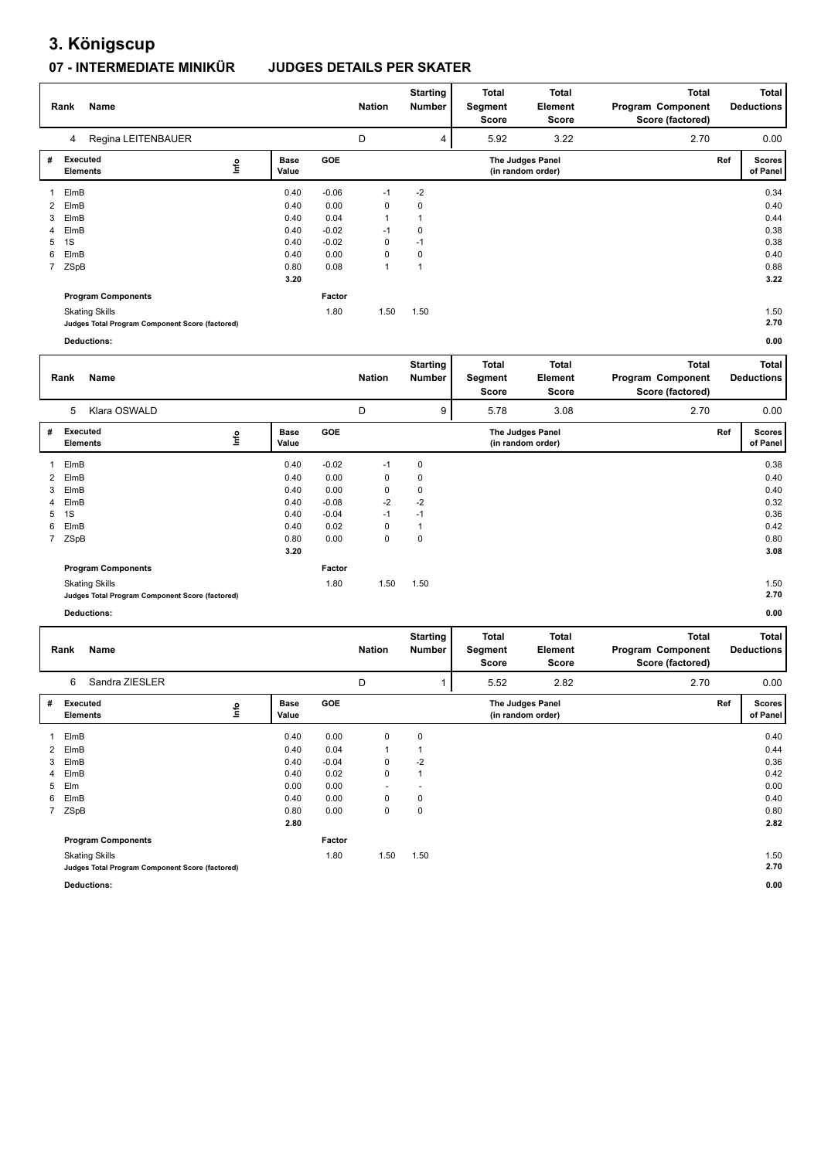## **3. Königscup**

### **07 - INTERMEDIATE MINIKÜR JUDGES DETAILS PER SKATER**

|                | Name<br>Rank                                    |    | <b>Nation</b>        | <b>Starting</b><br>Number | <b>Total</b><br>Segment<br>Score | <b>Total</b><br>Element<br>Score | <b>Total</b><br>Program Component<br>Score (factored) |                                       | Total<br><b>Deductions</b> |     |                           |
|----------------|-------------------------------------------------|----|----------------------|---------------------------|----------------------------------|----------------------------------|-------------------------------------------------------|---------------------------------------|----------------------------|-----|---------------------------|
|                | Regina LEITENBAUER<br>4                         |    |                      |                           | D                                | 4                                | 5.92                                                  | 3.22                                  | 2.70                       |     | 0.00                      |
| #              | <b>Executed</b><br><b>Elements</b>              | ۴ů | <b>Base</b><br>Value | GOE                       |                                  |                                  |                                                       | The Judges Panel<br>(in random order) |                            | Ref | <b>Scores</b><br>of Panel |
|                | ElmB                                            |    | 0.40                 | $-0.06$                   | $-1$                             | $-2$                             |                                                       |                                       |                            |     | 0.34                      |
| $\overline{2}$ | ElmB                                            |    | 0.40                 | 0.00                      | 0                                | 0                                |                                                       |                                       |                            |     | 0.40                      |
| 3              | ElmB                                            |    | 0.40                 | 0.04                      | 1                                | $\mathbf 1$                      |                                                       |                                       |                            |     | 0.44                      |
| $\overline{4}$ | ElmB                                            |    | 0.40                 | $-0.02$                   | $-1$                             | 0                                |                                                       |                                       |                            |     | 0.38                      |
| 5              | 1S                                              |    | 0.40                 | $-0.02$                   | 0                                | $-1$                             |                                                       |                                       |                            |     | 0.38                      |
| 6              | ElmB                                            |    | 0.40                 | 0.00                      | 0                                | 0                                |                                                       |                                       |                            |     | 0.40                      |
| $7^{\circ}$    | ZSpB                                            |    | 0.80                 | 0.08                      | 1                                | $\mathbf 1$                      |                                                       |                                       |                            |     | 0.88                      |
|                |                                                 |    | 3.20                 |                           |                                  |                                  |                                                       |                                       |                            |     | 3.22                      |
|                | <b>Program Components</b>                       |    |                      | Factor                    |                                  |                                  |                                                       |                                       |                            |     |                           |
|                | <b>Skating Skills</b>                           |    |                      | 1.80                      | 1.50                             | 1.50                             |                                                       |                                       |                            |     | 1.50                      |
|                | Judges Total Program Component Score (factored) |    |                      |                           |                                  |                                  |                                                       |                                       |                            |     | 2.70                      |
|                | <b>Deductions:</b>                              |    |                      |                           |                                  |                                  |                                                       |                                       |                            |     | 0.00                      |

|   | <b>Name</b><br>Rank                                                      |                      |            | <b>Nation</b> | <b>Starting</b><br>Number | Total<br>Segment<br>Score | <b>Total</b><br>Element<br>Score      | <b>Total</b><br>Program Component<br>Score (factored) | <b>Total</b><br><b>Deductions</b> |               |
|---|--------------------------------------------------------------------------|----------------------|------------|---------------|---------------------------|---------------------------|---------------------------------------|-------------------------------------------------------|-----------------------------------|---------------|
|   | Klara OSWALD<br>5                                                        |                      |            | D             | 9                         | 5.78                      | 3.08                                  | 2.70                                                  |                                   | 0.00          |
| # | Executed<br>lnfo<br>Elements                                             | <b>Base</b><br>Value | <b>GOE</b> |               |                           |                           | The Judges Panel<br>(in random order) |                                                       | Ref<br>of Panel                   | <b>Scores</b> |
| 1 | ElmB                                                                     | 0.40                 | $-0.02$    | $-1$          | 0                         |                           |                                       |                                                       |                                   | 0.38          |
|   | 2 ElmB                                                                   | 0.40                 | 0.00       | 0             | 0                         |                           |                                       |                                                       |                                   | 0.40          |
| 3 | ElmB                                                                     | 0.40                 | 0.00       | 0             | 0                         |                           |                                       |                                                       |                                   | 0.40          |
|   | 4 ElmB                                                                   | 0.40                 | $-0.08$    | $-2$          | $-2$                      |                           |                                       |                                                       |                                   | 0.32          |
| 5 | 1S                                                                       | 0.40                 | $-0.04$    | $-1$          | $-1$                      |                           |                                       |                                                       |                                   | 0.36          |
| 6 | ElmB                                                                     | 0.40                 | 0.02       | 0             |                           |                           |                                       |                                                       |                                   | 0.42          |
|   | 7 ZSpB                                                                   | 0.80                 | 0.00       | 0             | 0                         |                           |                                       |                                                       |                                   | 0.80          |
|   |                                                                          | 3.20                 |            |               |                           |                           |                                       |                                                       |                                   | 3.08          |
|   | <b>Program Components</b>                                                |                      | Factor     |               |                           |                           |                                       |                                                       |                                   |               |
|   | <b>Skating Skills</b><br>Judges Total Program Component Score (factored) |                      | 1.80       | 1.50          | 1.50                      |                           |                                       |                                                       |                                   | 1.50<br>2.70  |
|   | <b>Deductions:</b>                                                       |                      |            |               |                           |                           |                                       |                                                       |                                   | 0.00          |

T

|   | Name<br>Rank                                    |                      |            | Nation                   | <b>Starting</b><br><b>Number</b> | <b>Total</b><br>Segment<br>Score | <b>Total</b><br>Element<br><b>Score</b> | <b>Total</b><br>Program Component<br>Score (factored) |     | Total<br><b>Deductions</b> |
|---|-------------------------------------------------|----------------------|------------|--------------------------|----------------------------------|----------------------------------|-----------------------------------------|-------------------------------------------------------|-----|----------------------------|
|   | Sandra ZIESLER<br>6                             |                      |            | D                        |                                  | 5.52                             | 2.82                                    | 2.70                                                  |     | 0.00                       |
| # | <b>Executed</b><br>١m<br><b>Elements</b>        | <b>Base</b><br>Value | <b>GOE</b> |                          |                                  |                                  | The Judges Panel<br>(in random order)   |                                                       | Ref | <b>Scores</b><br>of Panel  |
|   | ElmB                                            | 0.40                 | 0.00       | 0                        | $\mathbf 0$                      |                                  |                                         |                                                       |     | 0.40                       |
|   | 2 ElmB                                          | 0.40                 | 0.04       |                          |                                  |                                  |                                         |                                                       |     | 0.44                       |
| 3 | ElmB                                            | 0.40                 | $-0.04$    | 0                        | $-2$                             |                                  |                                         |                                                       |     | 0.36                       |
|   | 4 ElmB                                          | 0.40                 | 0.02       | 0                        | $\mathbf 1$                      |                                  |                                         |                                                       |     | 0.42                       |
| 5 | Elm                                             | 0.00                 | 0.00       | $\overline{\phantom{a}}$ |                                  |                                  |                                         |                                                       |     | 0.00                       |
| 6 | ElmB                                            | 0.40                 | 0.00       | 0                        | 0                                |                                  |                                         |                                                       |     | 0.40                       |
|   | 7 ZSpB                                          | 0.80                 | 0.00       | 0                        | $\mathbf 0$                      |                                  |                                         |                                                       |     | 0.80                       |
|   |                                                 | 2.80                 |            |                          |                                  |                                  |                                         |                                                       |     | 2.82                       |
|   | <b>Program Components</b>                       |                      | Factor     |                          |                                  |                                  |                                         |                                                       |     |                            |
|   | <b>Skating Skills</b>                           |                      | 1.80       | 1.50                     | 1.50                             |                                  |                                         |                                                       |     | 1.50                       |
|   | Judges Total Program Component Score (factored) |                      |            |                          |                                  |                                  |                                         |                                                       |     | 2.70                       |

**Deductions: 0.00**